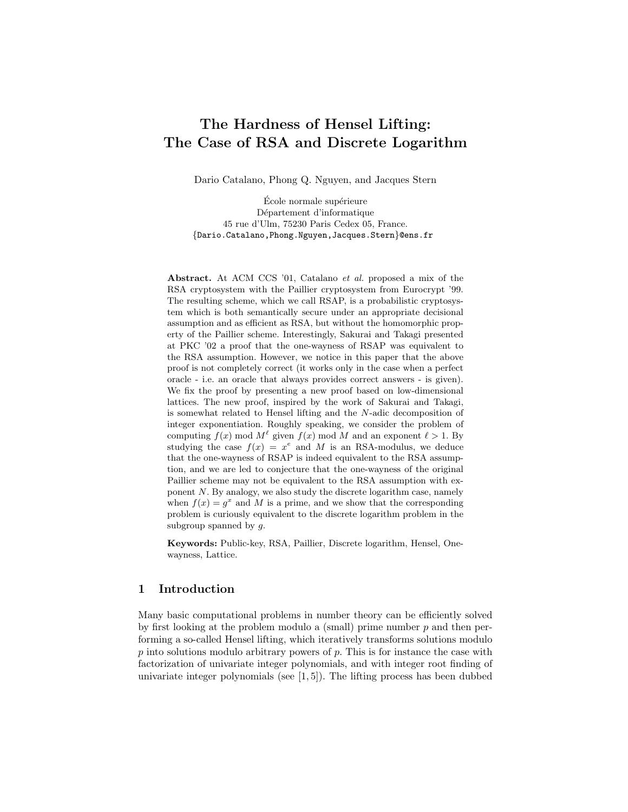# The Hardness of Hensel Lifting: The Case of RSA and Discrete Logarithm

Dario Catalano, Phong Q. Nguyen, and Jacques Stern

École normale supérieure Département d'informatique 45 rue d'Ulm, 75230 Paris Cedex 05, France. {Dario.Catalano,Phong.Nguyen,Jacques.Stern}@ens.fr

Abstract. At ACM CCS '01, Catalano et al. proposed a mix of the RSA cryptosystem with the Paillier cryptosystem from Eurocrypt '99. The resulting scheme, which we call RSAP, is a probabilistic cryptosystem which is both semantically secure under an appropriate decisional assumption and as efficient as RSA, but without the homomorphic property of the Paillier scheme. Interestingly, Sakurai and Takagi presented at PKC '02 a proof that the one-wayness of RSAP was equivalent to the RSA assumption. However, we notice in this paper that the above proof is not completely correct (it works only in the case when a perfect oracle - i.e. an oracle that always provides correct answers - is given). We fix the proof by presenting a new proof based on low-dimensional lattices. The new proof, inspired by the work of Sakurai and Takagi, is somewhat related to Hensel lifting and the N-adic decomposition of integer exponentiation. Roughly speaking, we consider the problem of computing  $f(x) \mod M^{\ell}$  given  $f(x) \mod M$  and an exponent  $\ell > 1$ . By studying the case  $f(x) = x^e$  and M is an RSA-modulus, we deduce that the one-wayness of RSAP is indeed equivalent to the RSA assumption, and we are led to conjecture that the one-wayness of the original Paillier scheme may not be equivalent to the RSA assumption with exponent  $N$ . By analogy, we also study the discrete logarithm case, namely when  $f(x) = g^x$  and M is a prime, and we show that the corresponding problem is curiously equivalent to the discrete logarithm problem in the subgroup spanned by  $q$ .

Keywords: Public-key, RSA, Paillier, Discrete logarithm, Hensel, Onewayness, Lattice.

# 1 Introduction

Many basic computational problems in number theory can be efficiently solved by first looking at the problem modulo a (small) prime number  $p$  and then performing a so-called Hensel lifting, which iteratively transforms solutions modulo  $p$  into solutions modulo arbitrary powers of  $p$ . This is for instance the case with factorization of univariate integer polynomials, and with integer root finding of univariate integer polynomials (see  $[1,5]$ ). The lifting process has been dubbed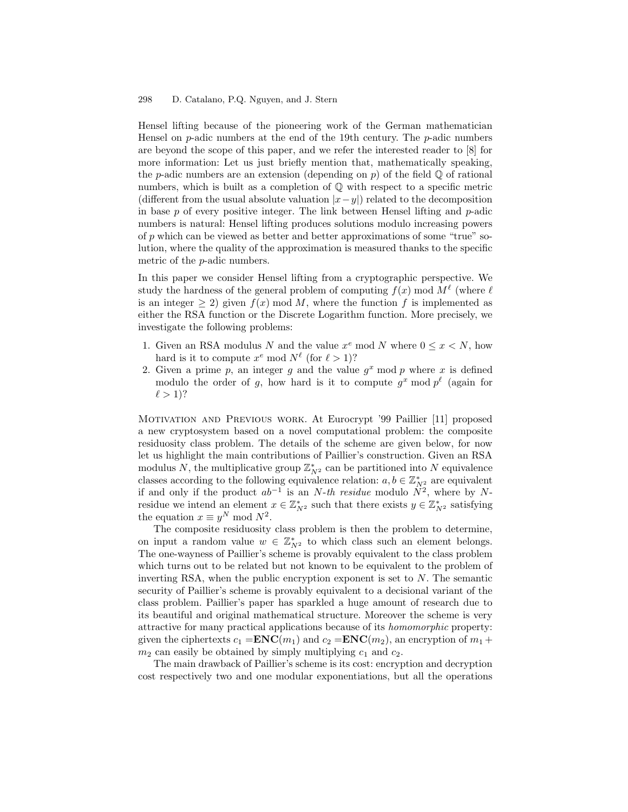#### 298 D. Catalano, P.Q. Nguyen, and J. Stern

Hensel lifting because of the pioneering work of the German mathematician Hensel on  $p$ -adic numbers at the end of the 19th century. The  $p$ -adic numbers are beyond the scope of this paper, and we refer the interested reader to [8] for more information: Let us just briefly mention that, mathematically speaking, the *p*-adic numbers are an extension (depending on *p*) of the field  $\mathbb{Q}$  of rational numbers, which is built as a completion of Q with respect to a specific metric (different from the usual absolute valuation  $|x-y|$ ) related to the decomposition in base  $p$  of every positive integer. The link between Hensel lifting and  $p$ -adic numbers is natural: Hensel lifting produces solutions modulo increasing powers of p which can be viewed as better and better approximations of some "true" solution, where the quality of the approximation is measured thanks to the specific metric of the p-adic numbers.

In this paper we consider Hensel lifting from a cryptographic perspective. We study the hardness of the general problem of computing  $f(x) \mod M^{\ell}$  (where  $\ell$ is an integer  $\geq 2$ ) given  $f(x) \mod M$ , where the function f is implemented as either the RSA function or the Discrete Logarithm function. More precisely, we investigate the following problems:

- 1. Given an RSA modulus N and the value  $x^e \mod N$  where  $0 \le x \le N$ , how hard is it to compute  $x^e \mod N^{\ell}$  (for  $\ell > 1$ )?
- 2. Given a prime  $p$ , an integer  $g$  and the value  $g^x$  mod  $p$  where  $x$  is defined modulo the order of g, how hard is it to compute  $g^x \mod p^{\ell}$  (again for  $\ell > 1$ ?

Motivation and Previous work. At Eurocrypt '99 Paillier [11] proposed a new cryptosystem based on a novel computational problem: the composite residuosity class problem. The details of the scheme are given below, for now let us highlight the main contributions of Paillier's construction. Given an RSA modulus N, the multiplicative group  $\mathbb{Z}_{N^2}^*$  can be partitioned into N equivalence classes according to the following equivalence relation:  $a, b \in \mathbb{Z}_{N^2}^*$  are equivalent if and only if the product  $ab^{-1}$  is an N-th residue modulo  $N^2$ , where by Nresidue we intend an element  $x \in \mathbb{Z}_{N^2}^*$  such that there exists  $y \in \mathbb{Z}_{N^2}^*$  satisfying the equation  $x \equiv y^N \mod N^2$ .

The composite residuosity class problem is then the problem to determine, on input a random value  $w \in \mathbb{Z}_{N^2}^*$  to which class such an element belongs. The one-wayness of Paillier's scheme is provably equivalent to the class problem which turns out to be related but not known to be equivalent to the problem of inverting RSA, when the public encryption exponent is set to  $N$ . The semantic security of Paillier's scheme is provably equivalent to a decisional variant of the class problem. Paillier's paper has sparkled a huge amount of research due to its beautiful and original mathematical structure. Moreover the scheme is very attractive for many practical applications because of its homomorphic property: given the ciphertexts  $c_1 = \mathbf{ENC}(m_1)$  and  $c_2 = \mathbf{ENC}(m_2)$ , an encryption of  $m_1 +$  $m_2$  can easily be obtained by simply multiplying  $c_1$  and  $c_2$ .

The main drawback of Paillier's scheme is its cost: encryption and decryption cost respectively two and one modular exponentiations, but all the operations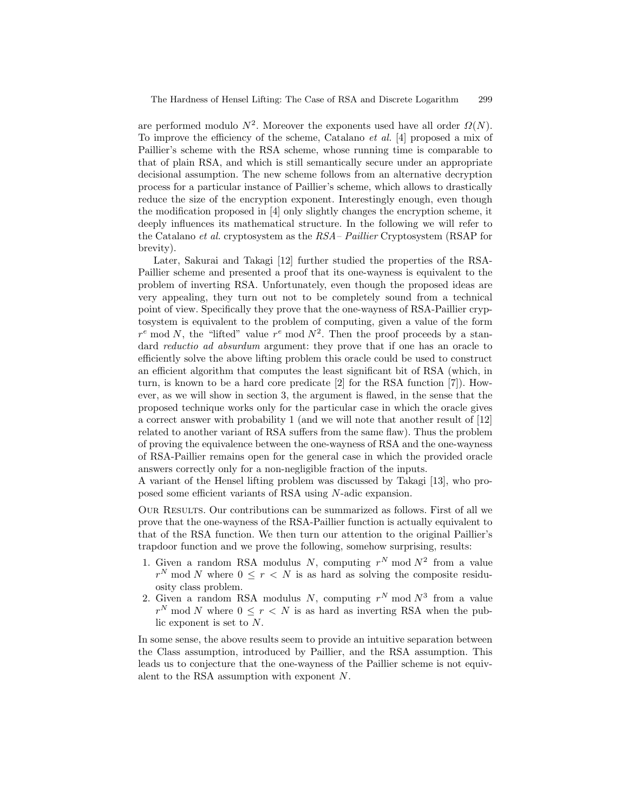are performed modulo  $N^2$ . Moreover the exponents used have all order  $\Omega(N)$ . To improve the efficiency of the scheme, Catalano et al. [4] proposed a mix of Paillier's scheme with the RSA scheme, whose running time is comparable to that of plain RSA, and which is still semantically secure under an appropriate decisional assumption. The new scheme follows from an alternative decryption process for a particular instance of Paillier's scheme, which allows to drastically reduce the size of the encryption exponent. Interestingly enough, even though the modification proposed in [4] only slightly changes the encryption scheme, it deeply influences its mathematical structure. In the following we will refer to the Catalano et al. cryptosystem as the RSA– Paillier Cryptosystem (RSAP for brevity).

Later, Sakurai and Takagi [12] further studied the properties of the RSA-Paillier scheme and presented a proof that its one-wayness is equivalent to the problem of inverting RSA. Unfortunately, even though the proposed ideas are very appealing, they turn out not to be completely sound from a technical point of view. Specifically they prove that the one-wayness of RSA-Paillier cryptosystem is equivalent to the problem of computing, given a value of the form  $r^e$  mod N, the "lifted" value  $r^e$  mod  $N^2$ . Then the proof proceeds by a standard *reductio ad absurdum* argument: they prove that if one has an oracle to efficiently solve the above lifting problem this oracle could be used to construct an efficient algorithm that computes the least significant bit of RSA (which, in turn, is known to be a hard core predicate [2] for the RSA function [7]). However, as we will show in section 3, the argument is flawed, in the sense that the proposed technique works only for the particular case in which the oracle gives a correct answer with probability 1 (and we will note that another result of [12] related to another variant of RSA suffers from the same flaw). Thus the problem of proving the equivalence between the one-wayness of RSA and the one-wayness of RSA-Paillier remains open for the general case in which the provided oracle answers correctly only for a non-negligible fraction of the inputs.

A variant of the Hensel lifting problem was discussed by Takagi [13], who proposed some efficient variants of RSA using N-adic expansion.

Our Results. Our contributions can be summarized as follows. First of all we prove that the one-wayness of the RSA-Paillier function is actually equivalent to that of the RSA function. We then turn our attention to the original Paillier's trapdoor function and we prove the following, somehow surprising, results:

- 1. Given a random RSA modulus N, computing  $r^N$  mod  $N^2$  from a value  $r^N$  mod N where  $0 \leq r < N$  is as hard as solving the composite residuosity class problem.
- 2. Given a random RSA modulus N, computing  $r^N$  mod  $N^3$  from a value  $r^N$  mod N where  $0 \leq r < N$  is as hard as inverting RSA when the public exponent is set to N.

In some sense, the above results seem to provide an intuitive separation between the Class assumption, introduced by Paillier, and the RSA assumption. This leads us to conjecture that the one-wayness of the Paillier scheme is not equivalent to the RSA assumption with exponent N.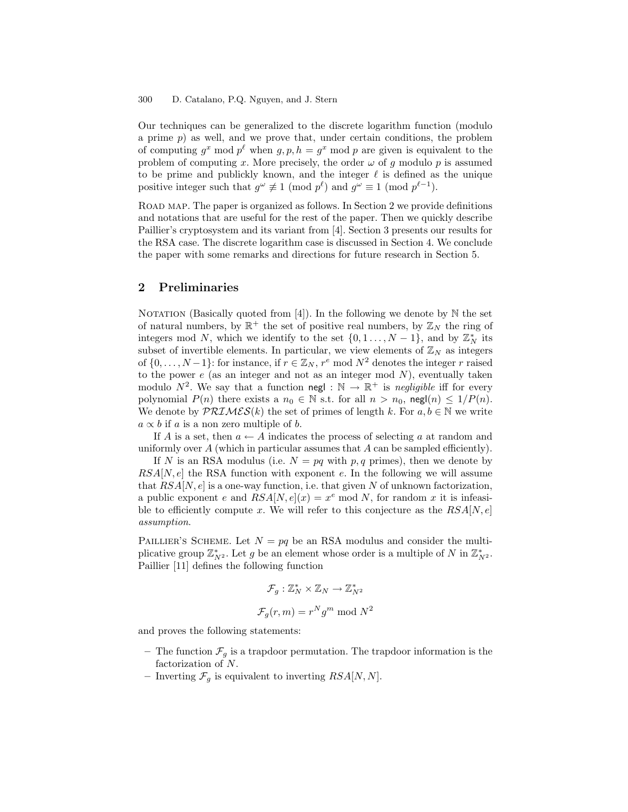Our techniques can be generalized to the discrete logarithm function (modulo a prime  $p$ ) as well, and we prove that, under certain conditions, the problem of computing  $g^x \mod p^{\ell}$  when  $g, p, h = g^x \mod p$  are given is equivalent to the problem of computing x. More precisely, the order  $\omega$  of g modulo p is assumed to be prime and publickly known, and the integer  $\ell$  is defined as the unique positive integer such that  $g^{\omega} \not\equiv 1 \pmod{p^{\ell}}$  and  $g^{\omega} \equiv 1 \pmod{p^{\ell-1}}$ .

ROAD MAP. The paper is organized as follows. In Section 2 we provide definitions and notations that are useful for the rest of the paper. Then we quickly describe Paillier's cryptosystem and its variant from [4]. Section 3 presents our results for the RSA case. The discrete logarithm case is discussed in Section 4. We conclude the paper with some remarks and directions for future research in Section 5.

# 2 Preliminaries

NOTATION (Basically quoted from [4]). In the following we denote by  $\mathbb N$  the set of natural numbers, by  $\mathbb{R}^+$  the set of positive real numbers, by  $\mathbb{Z}_N$  the ring of integers mod N, which we identify to the set  $\{0, 1, \ldots, N-1\}$ , and by  $\mathbb{Z}_N^*$  its subset of invertible elements. In particular, we view elements of  $\mathbb{Z}_N$  as integers of  $\{0, \ldots, N-1\}$ : for instance, if  $r \in \mathbb{Z}_N$ ,  $r^e \mod N^2$  denotes the integer r raised to the power  $e$  (as an integer and not as an integer mod  $N$ ), eventually taken modulo  $N^2$ . We say that a function negl :  $\mathbb{N} \to \mathbb{R}^+$  is negligible iff for every polynomial  $P(n)$  there exists a  $n_0 \in \mathbb{N}$  s.t. for all  $n > n_0$ , negl $(n) \leq 1/P(n)$ . We denote by  $\mathcal{PRIMES}(k)$  the set of primes of length k. For  $a, b \in \mathbb{N}$  we write  $a \propto b$  if a is a non zero multiple of b.

If A is a set, then  $a \leftarrow A$  indicates the process of selecting a at random and uniformly over  $A$  (which in particular assumes that  $A$  can be sampled efficiently).

If N is an RSA modulus (i.e.  $N = pq$  with p, q primes), then we denote by  $RSA[N, e]$  the RSA function with exponent e. In the following we will assume that  $RSA[N, e]$  is a one-way function, i.e. that given N of unknown factorization, a public exponent e and  $RSA[N, e](x) = x^e \mod N$ , for random x it is infeasible to efficiently compute x. We will refer to this conjecture as the  $RSA[N, e]$ assumption.

PAILLIER'S SCHEME. Let  $N = pq$  be an RSA modulus and consider the multiplicative group  $\mathbb{Z}_{N^2}^*$ . Let g be an element whose order is a multiple of N in  $\mathbb{Z}_{N^2}^*$ . Paillier [11] defines the following function

$$
\mathcal{F}_g: \mathbb{Z}_N^* \times \mathbb{Z}_N \to \mathbb{Z}_{N^2}^*
$$

$$
\mathcal{F}_g(r,m) = r^N g^m \bmod N^2
$$

and proves the following statements:

- The function  $\mathcal{F}_g$  is a trapdoor permutation. The trapdoor information is the factorization of N.
- Inverting  $\mathcal{F}_q$  is equivalent to inverting  $RSA[N, N]$ .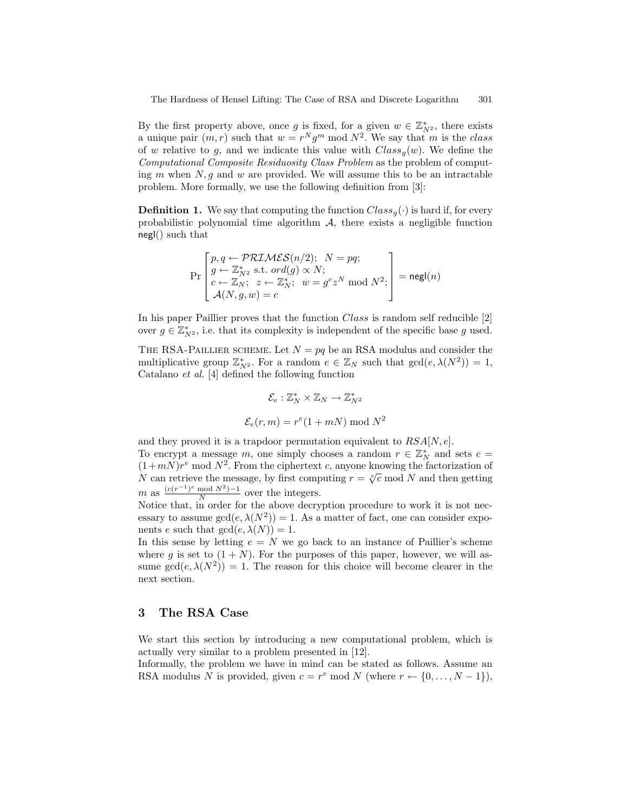By the first property above, once g is fixed, for a given  $w \in \mathbb{Z}_{N^2}^*$ , there exists a unique pair  $(m, r)$  such that  $w = r^N g^m \mod N^2$ . We say that m is the class of w relative to g, and we indicate this value with  $Class_{q}(w)$ . We define the Computational Composite Residuosity Class Problem as the problem of computing  $m$  when  $N$ ,  $g$  and  $w$  are provided. We will assume this to be an intractable problem. More formally, we use the following definition from [3]:

**Definition 1.** We say that computing the function  $Class_{q}(\cdot)$  is hard if, for every probabilistic polynomial time algorithm  $A$ , there exists a negligible function negl() such that

$$
\Pr\left[g \leftarrow \mathcal{PRIMES}(n/2); \ N = pq; \\
\left[g \leftarrow \mathbb{Z}_{N^2}^* \text{ s.t. } ord(g) \propto N; \\
c \leftarrow \mathbb{Z}_N; \ z \leftarrow \mathbb{Z}_N^*; \ w = g^c z^N \text{ mod } N^2; \\
\mathcal{A}(N, g, w) = c\n\end{aligned}\right] = \text{negl}(n)
$$

In his paper Paillier proves that the function Class is random self reducible [2] over  $g \in \mathbb{Z}_{N^2}^*$ , i.e. that its complexity is independent of the specific base g used.

THE RSA-PAILLIER SCHEME. Let  $N = pq$  be an RSA modulus and consider the multiplicative group  $\mathbb{Z}_{N^2}^*$ . For a random  $e \in \mathbb{Z}_N$  such that  $gcd(e, \lambda(N^2)) = 1$ , Catalano et al. [4] defined the following function

$$
\mathcal{E}_e: \mathbb{Z}_N^* \times \mathbb{Z}_N \to \mathbb{Z}_{N^2}^*
$$

$$
\mathcal{E}_e(r, m) = r^e(1 + mN) \bmod N^2
$$

and they proved it is a trapdoor permutation equivalent to  $RSA[N, e]$ . To encrypt a message m, one simply chooses a random  $r \in \mathbb{Z}_N^*$  and sets  $c =$  $(1+mN)r^e$  mod  $N^2$ . From the ciphertext c, anyone knowing the factorization of N can retrieve the message, by first computing  $r = \sqrt[c]{c}$  mod N and then getting  $m$  as  $\frac{(c(r^{-1})^e \mod N^2) - 1}{N}$  $\frac{N}{N}$  over the integers.

Notice that, in order for the above decryption procedure to work it is not necessary to assume  $gcd(e, \lambda(N^2)) = 1$ . As a matter of fact, one can consider exponents e such that  $gcd(e, \lambda(N)) = 1$ .

In this sense by letting  $e = N$  we go back to an instance of Paillier's scheme where q is set to  $(1 + N)$ . For the purposes of this paper, however, we will assume  $gcd(e, \lambda(N^2)) = 1$ . The reason for this choice will become clearer in the next section.

## 3 The RSA Case

We start this section by introducing a new computational problem, which is actually very similar to a problem presented in [12].

Informally, the problem we have in mind can be stated as follows. Assume an RSA modulus N is provided, given  $c = r^e \mod N$  (where  $r \leftarrow \{0, \ldots, N - 1\}$ ),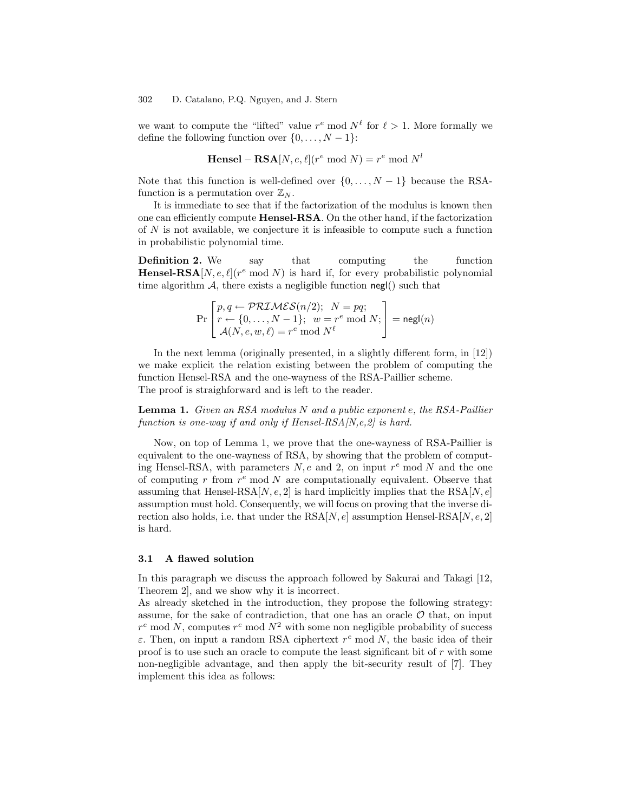we want to compute the "lifted" value  $r^e$  mod  $N^{\ell}$  for  $\ell > 1$ . More formally we define the following function over  $\{0, \ldots, N-1\}$ :

Hensel – RSA[
$$
N, e, \ell
$$
]( $r^e \mod N$ ) =  $r^e \mod N^l$ 

Note that this function is well-defined over  $\{0, \ldots, N-1\}$  because the RSAfunction is a permutation over  $\mathbb{Z}_N$ .

It is immediate to see that if the factorization of the modulus is known then one can efficiently compute Hensel-RSA. On the other hand, if the factorization of  $N$  is not available, we conjecture it is infeasible to compute such a function in probabilistic polynomial time.

**Definition 2.** We say that computing the function **Hensel-RSA**[N, e,  $\ell$ ]( $r^e$  mod N) is hard if, for every probabilistic polynomial time algorithm  $A$ , there exists a negligible function negl() such that

$$
\Pr\left[r\leftarrow \{0,\ldots,N-1\};\ w=r^e \bmod N; \atop \mathcal{A}(N,e,w,\ell)=r^e \bmod N^{\ell} \right] = \mathsf{negl}(n)
$$

In the next lemma (originally presented, in a slightly different form, in [12]) we make explicit the relation existing between the problem of computing the function Hensel-RSA and the one-wayness of the RSA-Paillier scheme. The proof is straighforward and is left to the reader.

**Lemma 1.** Given an RSA modulus N and a public exponent e, the RSA-Paillier function is one-way if and only if Hensel- $RSA/N, e, 2/$  is hard.

Now, on top of Lemma 1, we prove that the one-wayness of RSA-Paillier is equivalent to the one-wayness of RSA, by showing that the problem of computing Hensel-RSA, with parameters  $N, e$  and 2, on input  $r^e$  mod  $N$  and the one of computing  $r$  from  $r^e$  mod  $N$  are computationally equivalent. Observe that assuming that Hensel-RSA $[N, e, 2]$  is hard implicitly implies that the RSA $[N, e]$ assumption must hold. Consequently, we will focus on proving that the inverse direction also holds, i.e. that under the  $\text{RSA}[N, e]$  assumption Hensel- $\text{RSA}[N, e, 2]$ is hard.

#### 3.1 A flawed solution

In this paragraph we discuss the approach followed by Sakurai and Takagi [12, Theorem 2], and we show why it is incorrect.

As already sketched in the introduction, they propose the following strategy: assume, for the sake of contradiction, that one has an oracle  $\mathcal O$  that, on input  $r^e$  mod N, computes  $r^e$  mod  $N^2$  with some non negligible probability of success  $\varepsilon$ . Then, on input a random RSA ciphertext  $r^e$  mod N, the basic idea of their proof is to use such an oracle to compute the least significant bit of  $r$  with some non-negligible advantage, and then apply the bit-security result of [7]. They implement this idea as follows: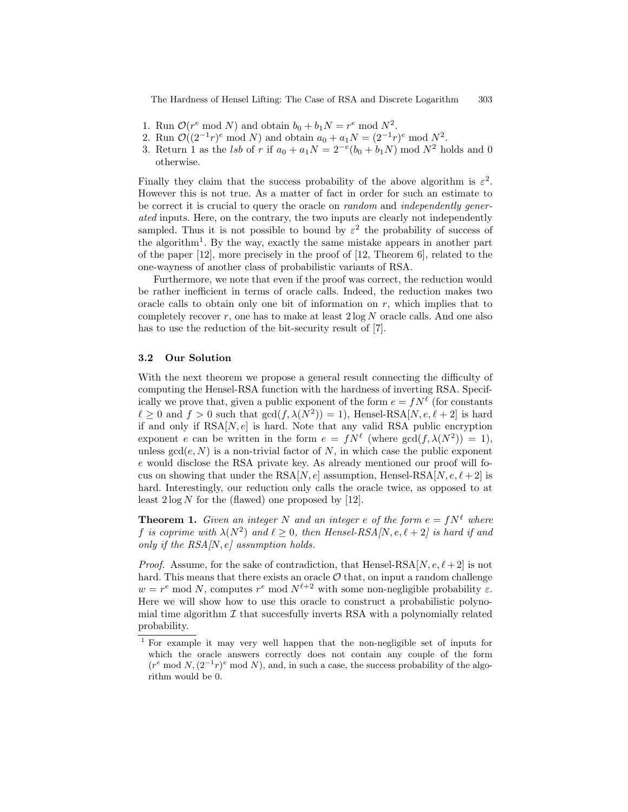The Hardness of Hensel Lifting: The Case of RSA and Discrete Logarithm 303

- 1. Run  $\mathcal{O}(r^e \mod N)$  and obtain  $b_0 + b_1 N = r^e \mod N^2$ .
- 2. Run  $\mathcal{O}((2^{-1}r)^e \mod N)$  and obtain  $a_0 + a_1 N = (2^{-1}r)^e \mod N^2$ .
- 3. Return 1 as the *lsb* of r if  $a_0 + a_1 N = 2^{-e}(b_0 + b_1 N) \text{ mod } N^2$  holds and 0 otherwise.

Finally they claim that the success probability of the above algorithm is  $\varepsilon^2$ . However this is not true. As a matter of fact in order for such an estimate to be correct it is crucial to query the oracle on *random* and *independently gener*ated inputs. Here, on the contrary, the two inputs are clearly not independently sampled. Thus it is not possible to bound by  $\varepsilon^2$  the probability of success of the algorithm<sup>1</sup>. By the way, exactly the same mistake appears in another part of the paper [12], more precisely in the proof of [12, Theorem 6], related to the one-wayness of another class of probabilistic variants of RSA.

Furthermore, we note that even if the proof was correct, the reduction would be rather inefficient in terms of oracle calls. Indeed, the reduction makes two oracle calls to obtain only one bit of information on  $r$ , which implies that to completely recover r, one has to make at least  $2 \log N$  oracle calls. And one also has to use the reduction of the bit-security result of [7].

## 3.2 Our Solution

With the next theorem we propose a general result connecting the difficulty of computing the Hensel-RSA function with the hardness of inverting RSA. Specifically we prove that, given a public exponent of the form  $e = fN^{\ell}$  (for constants  $\ell \geq 0$  and  $f > 0$  such that  $gcd(f, \lambda(N^2)) = 1)$ , Hensel-RSA[N,  $e, \ell + 2$ ] is hard if and only if  $RSA[N, e]$  is hard. Note that any valid RSA public encryption exponent e can be written in the form  $e = fN^{\ell}$  (where  $gcd(f, \lambda(N^2)) = 1$ ), unless  $gcd(e, N)$  is a non-trivial factor of N, in which case the public exponent e would disclose the RSA private key. As already mentioned our proof will focus on showing that under the RSA[N, e] assumption, Hensel-RSA[N, e,  $\ell + 2$ ] is hard. Interestingly, our reduction only calls the oracle twice, as opposed to at least  $2 \log N$  for the (flawed) one proposed by [12].

**Theorem 1.** Given an integer N and an integer e of the form  $e = fN^{\ell}$  where f is coprime with  $\lambda(N^2)$  and  $\ell \geq 0$ , then Hensel-RSA[N, e,  $\ell + 2$ ] is hard if and only if the  $RSA/N, e$  assumption holds.

*Proof.* Assume, for the sake of contradiction, that Hensel-RSA[N,  $e, \ell + 2$ ] is not hard. This means that there exists an oracle  $\mathcal O$  that, on input a random challenge  $w = r^e \mod N$ , computes  $r^e \mod N^{\ell+2}$  with some non-negligible probability  $\varepsilon$ . Here we will show how to use this oracle to construct a probabilistic polynomial time algorithm  $\mathcal I$  that succesfully inverts RSA with a polynomially related probability.

<sup>1</sup> For example it may very well happen that the non-negligible set of inputs for which the oracle answers correctly does not contain any couple of the form  $(r^e \mod N,(2^{-1}r)^e \mod N)$ , and, in such a case, the success probability of the algorithm would be 0.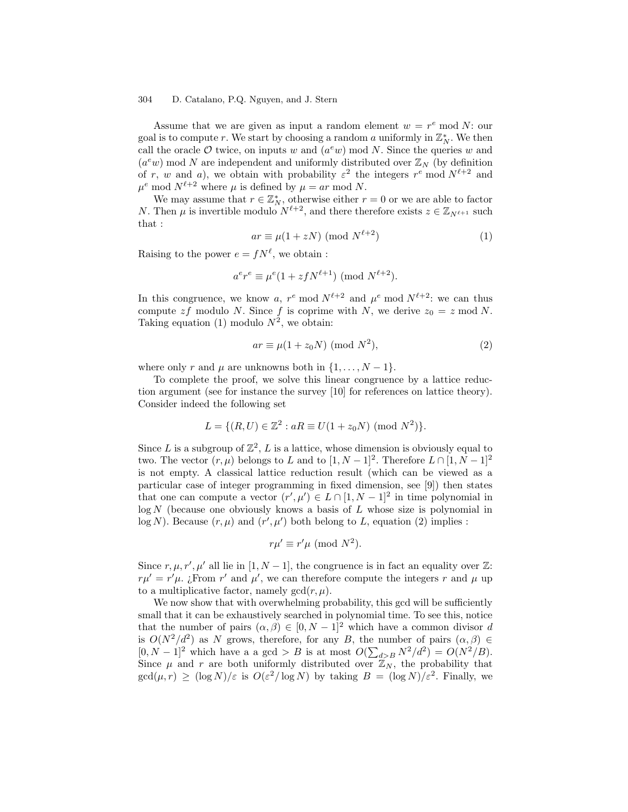### 304 D. Catalano, P.Q. Nguyen, and J. Stern

Assume that we are given as input a random element  $w = r<sup>e</sup> \text{ mod } N$ : our goal is to compute r. We start by choosing a random a uniformly in  $\mathbb{Z}_N^*$ . We then call the oracle  $\mathcal O$  twice, on inputs w and  $(a^e w)$  mod N. Since the queries w and  $(a^e w)$  mod N are independent and uniformly distributed over  $\mathbb{Z}_N$  (by definition of r, w and a), we obtain with probability  $\varepsilon^2$  the integers  $r^e$  mod  $N^{\ell+2}$  and  $\mu^e \mod N^{\ell+2}$  where  $\mu$  is defined by  $\mu = ar \mod N$ .

We may assume that  $r \in \mathbb{Z}_N^*$ , otherwise either  $r = 0$  or we are able to factor N. Then  $\mu$  is invertible modulo  $N^{\ell+2}$ , and there therefore exists  $z \in \mathbb{Z}_{N^{\ell+1}}$  such that :

$$
ar \equiv \mu(1 + zN) \pmod{N^{\ell+2}}
$$
 (1)

Raising to the power  $e = fN^{\ell}$ , we obtain :

$$
a^e r^e \equiv \mu^e (1 + z f N^{\ell+1}) \pmod{N^{\ell+2}}.
$$

In this congruence, we know a,  $r^e \mod N^{\ell+2}$  and  $\mu^e \mod N^{\ell+2}$ : we can thus compute  $zf$  modulo N. Since f is coprime with N, we derive  $z_0 = z$  mod N. Taking equation (1) modulo  $N^2$ , we obtain:

$$
ar \equiv \mu(1 + z_0 N) \pmod{N^2},\tag{2}
$$

where only r and  $\mu$  are unknowns both in  $\{1, \ldots, N-1\}$ .

To complete the proof, we solve this linear congruence by a lattice reduction argument (see for instance the survey [10] for references on lattice theory). Consider indeed the following set

$$
L = \{(R, U) \in \mathbb{Z}^2 : aR \equiv U(1 + z_0 N) \pmod{N^2}\}.
$$

Since L is a subgroup of  $\mathbb{Z}^2$ , L is a lattice, whose dimension is obviously equal to two. The vector  $(r, \mu)$  belongs to L and to  $[1, N-1]^2$ . Therefore  $L \cap [1, N-1]^2$ is not empty. A classical lattice reduction result (which can be viewed as a particular case of integer programming in fixed dimension, see [9]) then states that one can compute a vector  $(r', \mu') \in L \cap [1, N-1]^2$  in time polynomial in  $log N$  (because one obviously knows a basis of  $L$  whose size is polynomial in  $log N$ ). Because  $(r, \mu)$  and  $(r', \mu')$  both belong to L, equation (2) implies :

$$
r\mu' \equiv r'\mu \pmod{N^2}.
$$

Since  $r, \mu, r', \mu'$  all lie in [1, N – 1], the congruence is in fact an equality over  $\mathbb{Z}$ :  $r\mu' = r'\mu$ . ¿From r' and  $\mu'$ , we can therefore compute the integers r and  $\mu$  up to a multiplicative factor, namely  $gcd(r, \mu)$ .

We now show that with overwhelming probability, this gcd will be sufficiently small that it can be exhaustively searched in polynomial time. To see this, notice that the number of pairs  $(\alpha, \beta) \in [0, N-1]^2$  which have a common divisor d is  $O(N^2/d^2)$  as N grows, therefore, for any B, the number of pairs  $(\alpha, \beta) \in$  $[0, N-1]^2$  which have a a gcd > B is at most  $O(\sum_{d>B} N^2/d^2) = O(N^2/B)$ . Since  $\mu$  and r are both uniformly distributed over  $\mathbb{Z}_N$ , the probability that  $gcd(\mu, r) \geq (log N)/\varepsilon$  is  $O(\varepsilon^2 / log N)$  by taking  $B = (log N)/\varepsilon^2$ . Finally, we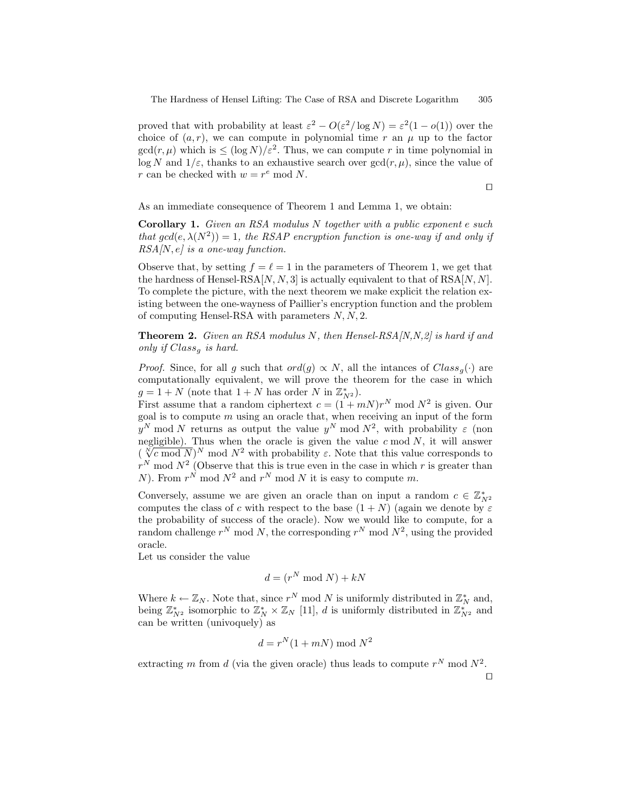proved that with probability at least  $\varepsilon^2 - O(\varepsilon^2/\log N) = \varepsilon^2(1 - o(1))$  over the choice of  $(a, r)$ , we can compute in polynomial time r an  $\mu$  up to the factor  $gcd(r, \mu)$  which is  $\leq (log N)/\varepsilon^2$ . Thus, we can compute r in time polynomial in  $\log N$  and  $1/\varepsilon$ , thanks to an exhaustive search over  $\gcd(r, \mu)$ , since the value of r can be checked with  $w = r^e \mod N$ .

 $\Box$ 

As an immediate consequence of Theorem 1 and Lemma 1, we obtain:

Corollary 1. Given an RSA modulus N together with a public exponent e such that  $gcd(e, \lambda(N^2)) = 1$ , the RSAP encryption function is one-way if and only if  $RSA[N, e]$  is a one-way function.

Observe that, by setting  $f = \ell = 1$  in the parameters of Theorem 1, we get that the hardness of Hensel-RSA $[N, N, 3]$  is actually equivalent to that of RSA $[N, N]$ . To complete the picture, with the next theorem we make explicit the relation existing between the one-wayness of Paillier's encryption function and the problem of computing Hensel-RSA with parameters  $N, N, 2$ .

**Theorem 2.** Given an RSA modulus N, then Hensel-RSA $[N, N, 2]$  is hard if and only if  $Class_{q}$  is hard.

*Proof.* Since, for all g such that  $ord(g) \propto N$ , all the intances of  $Class_{g}(\cdot)$  are computationally equivalent, we will prove the theorem for the case in which  $g = 1 + N$  (note that  $1 + N$  has order N in  $\mathbb{Z}_{N^2}^*$ ).

First assume that a random ciphertext  $c = (1 + mN)r^N \mod N^2$  is given. Our goal is to compute  $m$  using an oracle that, when receiving an input of the form  $y^N$  mod N returns as output the value  $y^N$  mod  $N^2$ , with probability  $\varepsilon$  (non negligible). Thus when the oracle is given the value  $c \mod N$ , it will answer  $(\sqrt[N]{c} \mod N)^N \mod N^2$  with probability  $\varepsilon$ . Note that this value corresponds to  $r^N$  mod  $N^2$  (Observe that this is true even in the case in which r is greater than N). From  $r^N$  mod  $N^2$  and  $r^N$  mod N it is easy to compute m.

Conversely, assume we are given an oracle than on input a random  $c \in \mathbb{Z}_{N^2}^*$ computes the class of c with respect to the base  $(1 + N)$  (again we denote by  $\varepsilon$ the probability of success of the oracle). Now we would like to compute, for a random challenge  $r^N$  mod N, the corresponding  $r^N$  mod  $N^2$ , using the provided oracle.

Let us consider the value

$$
d = (r^N \bmod N) + kN
$$

Where  $k \leftarrow \mathbb{Z}_N$ . Note that, since  $r^N \mod N$  is uniformly distributed in  $\mathbb{Z}_N^*$  and, being  $\mathbb{Z}_{N^2}^*$  isomorphic to  $\mathbb{Z}_N^* \times \mathbb{Z}_N$  [11], d is uniformly distributed in  $\mathbb{Z}_{N^2}^*$  and can be written (univoquely) as

$$
d = r^N(1 + mN) \bmod N^2
$$

extracting m from d (via the given oracle) thus leads to compute  $r^N$  mod  $N^2$ .

 $\Box$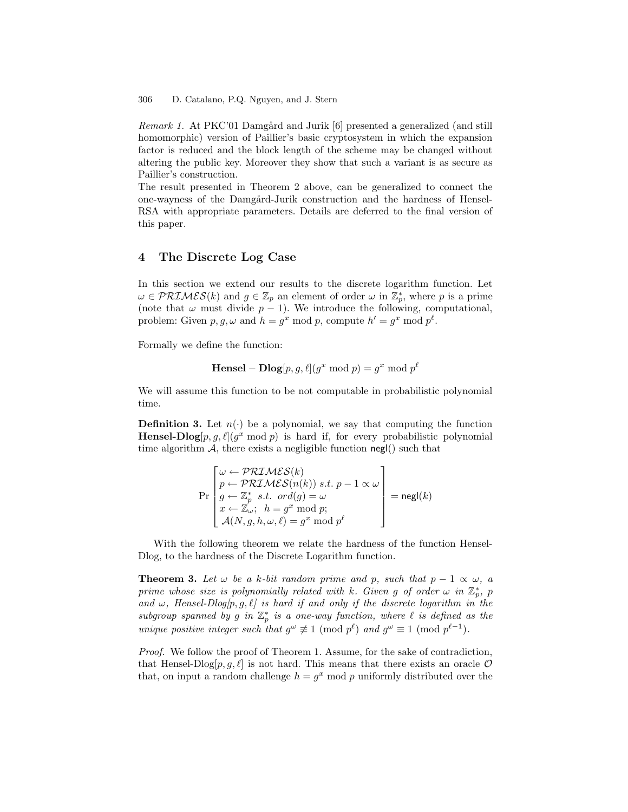Remark 1. At PKC'01 Damgård and Jurik [6] presented a generalized (and still homomorphic) version of Paillier's basic cryptosystem in which the expansion factor is reduced and the block length of the scheme may be changed without altering the public key. Moreover they show that such a variant is as secure as Paillier's construction.

The result presented in Theorem 2 above, can be generalized to connect the one-wayness of the Damgård-Jurik construction and the hardness of Hensel-RSA with appropriate parameters. Details are deferred to the final version of this paper.

## 4 The Discrete Log Case

In this section we extend our results to the discrete logarithm function. Let  $\omega \in \mathcal{PRIMES}(k)$  and  $g \in \mathbb{Z}_p$  an element of order  $\omega$  in  $\mathbb{Z}_p^*$ , where p is a prime (note that  $\omega$  must divide  $p-1$ ). We introduce the following, computational, problem: Given  $p, g, \omega$  and  $h = g^x \mod p$ , compute  $h' = g^x \mod p^{\ell}$ .

Formally we define the function:

**Hensel** – **Dlog**[
$$
p, g, \ell
$$
]( $g^x \mod p$ ) =  $g^x \mod p^{\ell}$ 

We will assume this function to be not computable in probabilistic polynomial time.

**Definition 3.** Let  $n(\cdot)$  be a polynomial, we say that computing the function **Hensel-Dlog** $[p, g, \ell](g^x \mod p)$  is hard if, for every probabilistic polynomial time algorithm  $\mathcal{A}$ , there exists a negligible function negl() such that

$$
\Pr\left[\begin{array}{l}\omega \leftarrow \mathcal{PRIMES}(k)\\p \leftarrow \mathcal{PRIMES}(n(k)) \text{ s.t. } p-1 \propto \omega\\g \leftarrow \mathbb{Z}_p^* \text{ s.t. } ord(g) = \omega\\x \leftarrow \mathbb{Z}_\omega; \ \ h = g^x \bmod p;\\ \mathcal{A}(N, g, h, \omega, \ell) = g^x \bmod p^\ell\end{array}\right]\right] = {\sf negl}(k)
$$

With the following theorem we relate the hardness of the function Hensel-Dlog, to the hardness of the Discrete Logarithm function.

**Theorem 3.** Let  $\omega$  be a k-bit random prime and p, such that  $p-1 \propto \omega$ , a prime whose size is polynomially related with k. Given g of order  $\omega$  in  $\mathbb{Z}_p^*$ , p and  $\omega$ , Hensel-Dlog $[p, g, \ell]$  is hard if and only if the discrete logarithm in the subgroup spanned by g in  $\mathbb{Z}_p^*$  is a one-way function, where  $\ell$  is defined as the unique positive integer such that  $g^{\omega} \not\equiv 1 \pmod{p^{\ell}}$  and  $g^{\omega} \equiv 1 \pmod{p^{\ell-1}}$ .

Proof. We follow the proof of Theorem 1. Assume, for the sake of contradiction, that Hensel-Dlog[ $p, g, \ell$ ] is not hard. This means that there exists an oracle  $\mathcal O$ that, on input a random challenge  $h = g^x \mod p$  uniformly distributed over the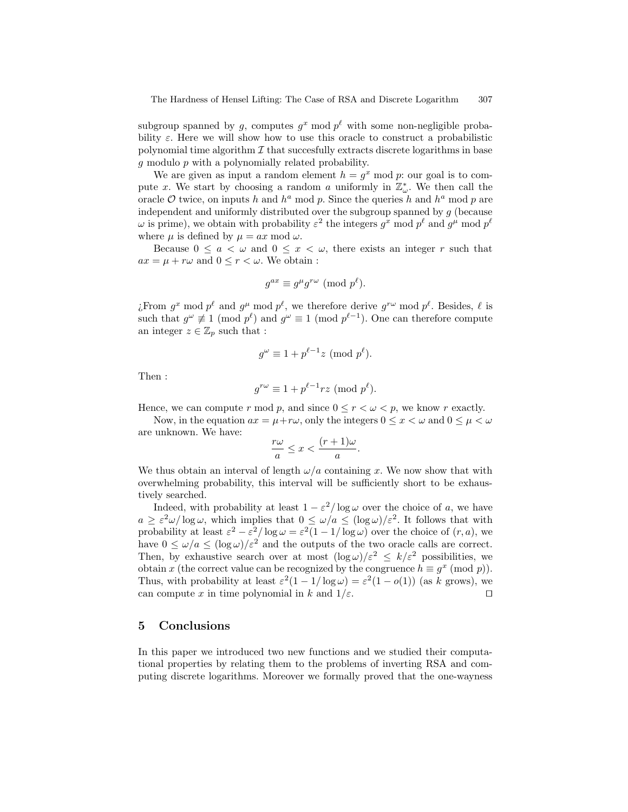subgroup spanned by g, computes  $g^x \mod p^\ell$  with some non-negligible probability  $\varepsilon$ . Here we will show how to use this oracle to construct a probabilistic polynomial time algorithm  $\mathcal I$  that succesfully extracts discrete logarithms in base  $g$  modulo  $p$  with a polynomially related probability.

We are given as input a random element  $h = g^x \mod p$ : our goal is to compute x. We start by choosing a random a uniformly in  $\mathbb{Z}_{\omega}^*$ . We then call the oracle  $\mathcal O$  twice, on inputs h and  $h^a$  mod p. Since the queries h and  $h^a$  mod p are independent and uniformly distributed over the subgroup spanned by  $g$  (because  $\omega$  is prime), we obtain with probability  $\varepsilon^2$  the integers  $g^x$  mod  $p^{\ell}$  and  $g^{\mu}$  mod  $p^{\ell}$ where  $\mu$  is defined by  $\mu = ax \mod \omega$ .

Because  $0 \le a \le \omega$  and  $0 \le x \le \omega$ , there exists an integer r such that  $ax = \mu + r\omega$  and  $0 \le r \le \omega$ . We obtain :

$$
g^{ax} \equiv g^{\mu} g^{r\omega} \pmod{p^{\ell}}.
$$

¿From  $g^x \mod p^\ell$  and  $g^\mu \mod p^\ell$ , we therefore derive  $g^{r\omega} \mod p^\ell$ . Besides,  $\ell$  is such that  $g^{\omega} \not\equiv 1 \pmod{p^{\ell}}$  and  $g^{\omega} \equiv 1 \pmod{p^{\ell-1}}$ . One can therefore compute an integer  $z \in \mathbb{Z}_p$  such that :

$$
g^{\omega} \equiv 1 + p^{\ell - 1} z \pmod{p^{\ell}}.
$$

Then :

$$
g^{r\omega} \equiv 1 + p^{\ell-1}rz \pmod{p^{\ell}}.
$$

Hence, we can compute r mod p, and since  $0 \le r \le \omega \le p$ , we know r exactly.

Now, in the equation  $ax = \mu + r\omega$ , only the integers  $0 \leq x < \omega$  and  $0 \leq \mu < \omega$ are unknown. We have:

$$
\frac{r\omega}{a} \le x < \frac{(r+1)\omega}{a}.
$$

We thus obtain an interval of length  $\omega/a$  containing x. We now show that with overwhelming probability, this interval will be sufficiently short to be exhaustively searched.

Indeed, with probability at least  $1 - \varepsilon^2 / \log \omega$  over the choice of a, we have  $a \geq \varepsilon^2 \omega / \log \omega$ , which implies that  $0 \leq \omega/a \leq (\log \omega)/\varepsilon^2$ . It follows that with probability at least  $\varepsilon^2 - \varepsilon^2 / \log \omega = \varepsilon^2 (1 - 1 / \log \omega)$  over the choice of  $(r, a)$ , we have  $0 \le \omega/a \le (\log \omega)/\varepsilon^2$  and the outputs of the two oracle calls are correct. Then, by exhaustive search over at most  $(\log \omega)/\varepsilon^2 \leq k/\varepsilon^2$  possibilities, we obtain x (the correct value can be recognized by the congruence  $h \equiv g^x \pmod{p}$ ). Thus, with probability at least  $\varepsilon^2(1-1/\log \omega) = \varepsilon^2(1-o(1))$  (as k grows), we can compute x in time polynomial in k and  $1/\varepsilon$ .

## 5 Conclusions

In this paper we introduced two new functions and we studied their computational properties by relating them to the problems of inverting RSA and computing discrete logarithms. Moreover we formally proved that the one-wayness